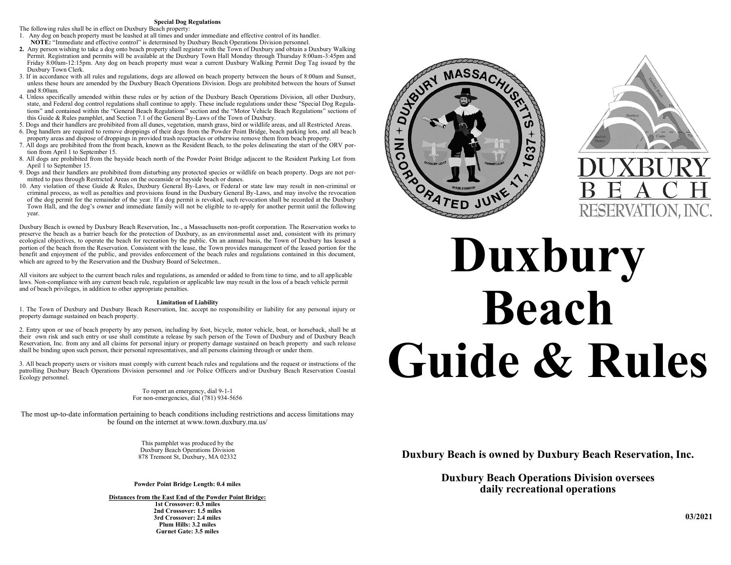# **Special Dog Regulations**

The following rules shall be in effect on Duxbury Beach property:

- 1. Any dog on beach property must be leashed at all times and under immediate and effective control of its handler.  **NOTE:** "Immediate and effective control" is determined by Duxbury Beach Operations Division personnel.
- **2.** Any person wishing to take a dog onto beach property shall register with the Town of Duxbury and obtain a Duxbury Walking Permit. Registration and permits will be available at the Duxbury Town Hall Monday through Thursday 8:00am-3:45pm and Friday 8:00am-12:15pm. Any dog on beach property must wear a current Duxbury Walking Permit Dog Tag issued by the Duxbury Town Clerk.
- 3. If in accordance with all rules and regulations, dogs are allowed on beach property between the hours of 8:00am and Sunset, unless these hours are amended by the Duxbury Beach Operations Division. Dogs are prohibited between the hours of Sunset and 8:00am.
- 4. Unless specifically amended within these rules or by action of the Duxbury Beach Operations Division, all other Duxbury, state, and Federal dog control regulations shall continue to apply. These include regulations under these "Special Dog Regulations" and contained within the "General Beach Regulations" section and the "Motor Vehicle Beach Regulations" sections of this Guide & Rules pamphlet, and Section 7.1 of the General By-Laws of the Town of Duxbury.
- 5. Dogs and their handlers are prohibited from all dunes, vegetation, marsh grass, bird or wildlife areas, and all Restricted Areas.
- 6. Dog handlers are required to remove droppings of their dogs from the Powder Point Bridge, beach parking lots, and all beach property areas and dispose of droppings in provided trash receptacles or otherwise remove them from beach property.
- 7. All dogs are prohibited from the front beach, known as the Resident Beach, to the poles delineating the start of the ORV portion from April 1 to September 15.
- 8. All dogs are prohibited from the bayside beach north of the Powder Point Bridge adjacent to the Resident Parking Lot from April 1 to September 15.
- 9. Dogs and their handlers are prohibited from disturbing any protected species or wildlife on beach property. Dogs are not permitted to pass through Restricted Areas on the oceanside or bayside beach or dunes.
- 10. Any violation of these Guide & Rules, Duxbury General By-Laws, or Federal or state law may result in non-criminal or criminal process, as well as penalties and provisions found in the Duxbury General By-Laws, and may involve the revocation of the dog permit for the remainder of the year. If a dog permit is revoked, such revocation shall be recorded at the Duxbury Town Hall, and the dog's owner and immediate family will not be eligible to re-apply for another permit until the following year.

Duxbury Beach is owned by Duxbury Beach Reservation, Inc., a Massachusetts non-profit corporation. The Reservation works to preserve the beach as a barrier beach for the protection of Duxbury, as an environmental asset and, consistent with its primary ecological objectives, to operate the beach for recreation by the public. On an annual basis, the Town of Duxbury has leased a portion of the beach from the Reservation. Consistent with the lease, the Town provides management of the leased portion for the benefit and enjoyment of the public, and provides enforcement of the beach rules and regulations contained in this document, which are agreed to by the Reservation and the Duxbury Board of Selectmen..

All visitors are subject to the current beach rules and regulations, as amended or added to from time to time, and to all applicable laws. Non-compliance with any current beach rule, regulation or applicable law may result in the loss of a beach vehicle permit and of beach privileges, in addition to other appropriate penalties.

### **Limitation of Liability**

1. The Town of Duxbury and Duxbury Beach Reservation, Inc. accept no responsibility or liability for any personal injury or property damage sustained on beach property.

2. Entry upon or use of beach property by any person, including by foot, bicycle, motor vehicle, boat, or horseback, shall be at their own risk and such entry or use shall constitute a release by such person of the Town of Duxbury and of Duxbury Beach Reservation, Inc. from any and all claims for personal injury or property damage sustained on beach property and such release shall be binding upon such person, their personal representatives, and all persons claiming through or under them.

3. All beach property users or visitors must comply with current beach rules and regulations and the request or instructions of the patrolling Duxbury Beach Operations Division personnel and /or Police Officers and/or Duxbury Beach Reservation Coastal Ecology personnel.

> To report an emergency, dial 9-1-1 For non-emergencies, dial (781) 934-5656

The most up-to-date information pertaining to beach conditions including restrictions and access limitations may be found on the internet at www.town.duxbury.ma.us/

> This pamphlet was produced by the Duxbury Beach Operations Division 878 Tremont St, Duxbury, MA 02332

**Powder Point Bridge Length: 0.4 miles**

**Distances from the East End of the Powder Point Bridge: 1st Crossover: 0.3 miles 2nd Crossover: 1.5 miles 3rd Crossover: 2.4 miles Plum Hills: 3.2 miles Gurnet Gate: 3.5 miles**





# **Beach Guide & Rules**

**Duxbury Beach is owned by Duxbury Beach Reservation, Inc.**

**Duxbury Beach Operations Division oversees daily recreational operations**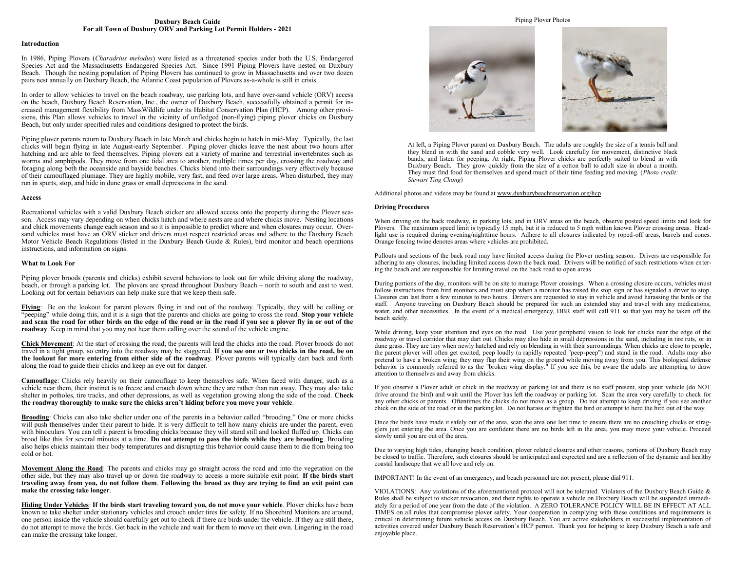# **Duxbury Beach Guide For all Town of Duxbury ORV and Parking Lot Permit Holders - 2021**

### **Introduction**

In 1986, Piping Plovers (*Charadrius melodus*) were listed as a threatened species under both the U.S. Endangered Species Act and the Massachusetts Endangered Species Act. Since 1991 Piping Plovers have nested on Duxbury Beach. Though the nesting population of Piping Plovers has continued to grow in Massachusetts and over two dozen pairs nest annually on Duxbury Beach, the Atlantic Coast population of Plovers as-a-whole is still in crisis.

In order to allow vehicles to travel on the beach roadway, use parking lots, and have over-sand vehicle (ORV) access on the beach, Duxbury Beach Reservation, Inc., the owner of Duxbury Beach, successfully obtained a permit for increased management flexibility from MassWildlife under its Habitat Conservation Plan (HCP). Among other provisions, this Plan allows vehicles to travel in the vicinity of unfledged (non-flying) piping plover chicks on Duxbury Beach, but only under specified rules and conditions designed to protect the birds.

Piping plover parents return to Duxbury Beach in late March and chicks begin to hatch in mid-May. Typically, the last chicks will begin flying in late August-early September. Piping plover chicks leave the nest about two hours after hatching and are able to feed themselves. Piping plovers eat a variety of marine and terrestrial invertebrates such as worms and amphipods. They move from one tidal area to another, multiple times per day, crossing the roadway and foraging along both the oceanside and bayside beaches. Chicks blend into their surroundings very effectively because of their camouflaged plumage. They are highly mobile, very fast, and feed over large areas. When disturbed, they may run in spurts, stop, and hide in dune grass or small depressions in the sand.

## **Access**

Recreational vehicles with a valid Duxbury Beach sticker are allowed access onto the property during the Plover season. Access may vary depending on when chicks hatch and where nests are and where chicks move. Nesting locations and chick movements change each season and so it is impossible to predict where and when closures may occur. Oversand vehicles must have an ORV sticker and drivers must respect restricted areas and adhere to the Duxbury Beach Motor Vehicle Beach Regulations (listed in the Duxbury Beach Guide & Rules), bird monitor and beach operations instructions, and information on signs.

# **What to Look For**

Piping plover broods (parents and chicks) exhibit several behaviors to look out for while driving along the roadway, beach, or through a parking lot. The plovers are spread throughout Duxbury Beach – north to south and east to west. Looking out for certain behaviors can help make sure that we keep them safe.

**Flying**: Be on the lookout for parent plovers flying in and out of the roadway. Typically, they will be calling or "peeping" while doing this, and it is a sign that the parents and chicks are going to cross the road. **Stop your vehicle and scan the road for other birds on the edge of the road or in the road if you see a plover fly in or out of the roadway**. Keep in mind that you may not hear them calling over the sound of the vehicle engine.

**Chick Movement**: At the start of crossing the road, the parents will lead the chicks into the road. Plover broods do not travel in a tight group, so entry into the roadway may be staggered. **If you see one or two chicks in the road, be on the lookout for more entering from either side of the roadway**. Plover parents will typically dart back and forth along the road to guide their chicks and keep an eye out for danger.

**Camouflage**: Chicks rely heavily on their camouflage to keep themselves safe. When faced with danger, such as a vehicle near them, their instinct is to freeze and crouch down where they are rather than run away. They may also take shelter in potholes, tire tracks, and other depressions, as well as vegetation growing along the side of the road. **Check the roadway thoroughly to make sure the chicks aren't hiding before you move your vehicle**.

**Brooding**: Chicks can also take shelter under one of the parents in a behavior called "brooding." One or more chicks will push themselves under their parent to hide. It is very difficult to tell how many chicks are under the parent, even with binoculars. You can tell a parent is brooding chicks because they will stand still and looked fluffed up. Chicks can brood like this for several minutes at a time. **Do not attempt to pass the birds while they are brooding**. Brooding also helps chicks maintain their body temperatures and disrupting this behavior could cause them to die from being too cold or hot.

**Movement Along the Road**: The parents and chicks may go straight across the road and into the vegetation on the other side, but they may also travel up or down the roadway to access a more suitable exit point. **If the birds start traveling away from you, do not follow them**. **Following the brood as they are trying to find an exit point can make the crossing take longer**.

**Hiding Under Vehicles**: **If the birds start traveling toward you, do not move your vehicle**. Plover chicks have been known to take shelter under stationary vehicles and crouch under tires for safety. If no Shorebird Monitors are around, one person inside the vehicle should carefully get out to check if there are birds under the vehicle. If they are still there, do not attempt to move the birds. Get back in the vehicle and wait for them to move on their own. Lingering in the road can make the crossing take longer.

Piping Plover Photos



At left, a Piping Plover parent on Duxbury Beach. The adults are roughly the size of a tennis ball and they blend in with the sand and cobble very well. Look carefully for movement, distinctive black bands, and listen for peeping. At right, Piping Plover chicks are perfectly suited to blend in with Duxbury Beach. They grow quickly from the size of a cotton ball to adult size in about a month. They must find food for themselves and spend much of their time feeding and moving. (*Photo credit: Stewart Ting Chong*)

Additional photos and videos may be found at [www.duxburybeachreservation.org/hcp](http://www.duxburybeachreservation.org/HCP) 

## **Driving Procedures**

When driving on the back roadway, in parking lots, and in ORV areas on the beach, observe posted speed limits and look for Plovers. The maximum speed limit is typically 15 mph, but it is reduced to 5 mph within known Plover crossing areas. Headlight use is required during evening/nighttime hours. Adhere to all closures indicated by roped-off areas, barrels and cones. Orange fencing twine denotes areas where vehicles are prohibited.

Pullouts and sections of the back road may have limited access during the Plover nesting season. Drivers are responsible for adhering to any closures, including limited access down the back road. Drivers will be notified of such restrictions when entering the beach and are responsible for limiting travel on the back road to open areas.

During portions of the day, monitors will be on site to manage Plover crossings. When a crossing closure occurs, vehicles must follow instructions from bird monitors and must stop when a monitor has raised the stop sign or has signaled a driver to stop. Closures can last from a few minutes to two hours. Drivers are requested to stay in vehicle and avoid harassing the birds or the staff. Anyone traveling on Duxbury Beach should be prepared for such an extended stay and travel with any medications, water, and other necessities. In the event of a medical emergency, DBR staff will call 911 so that you may be taken off the beach safely.

While driving, keep your attention and eyes on the road. Use your peripheral vision to look for chicks near the edge of the roadway or travel corridor that may dart out. Chicks may also hide in small depressions in the sand, including in tire ruts, or in dune grass. They are tiny when newly hatched and rely on blending in with their surroundings. When chicks are close to people, the parent plover will often get excited, peep loudly (a rapidly repeated "peep-peep") and stand in the road. Adults may also pretend to have a broken wing; they may flap their wing on the ground while moving away from you. This biological defense behavior is commonly referred to as the "broken wing display." If you see this, be aware the adults are attempting to draw attention to themselves and away from chicks.

If you observe a Plover adult or chick in the roadway or parking lot and there is no staff present, stop your vehicle (do NOT drive around the bird) and wait until the Plover has left the roadway or parking lot. Scan the area very carefully to check for any other chicks or parents. Oftentimes the chicks do not move as a group. Do not attempt to keep driving if you see another chick on the side of the road or in the parking lot. Do not harass or frighten the bird or attempt to herd the bird out of the way.

Once the birds have made it safely out of the area, scan the area one last time to ensure there are no crouching chicks or stragglers just entering the area. Once you are confident there are no birds left in the area, you may move your vehicle. Proceed slowly until you are out of the area.

Due to varying high tides, changing beach condition, plover related closures and other reasons, portions of Duxbury Beach may be closed to traffic. Therefore, such closures should be anticipated and expected and are a reflection of the dynamic and healthy coastal landscape that we all love and rely on.

IMPORTANT! In the event of an emergency, and beach personnel are not present, please dial 911.

VIOLATIONS: Any violations of the aforementioned protocol will not be tolerated. Violators of the Duxbury Beach Guide & Rules shall be subject to sticker revocation, and their rights to operate a vehicle on Duxbury Beach will be suspended immediately for a period of one year from the date of the violation. A ZERO TOLERANCE POLICY WILL BE IN EFFECT AT ALL TIMES on all rules that compromise plover safety. Your cooperation in complying with these conditions and requirements is critical in determining future vehicle access on Duxbury Beach. You are active stakeholders in successful implementation of activities covered under Duxbury Beach Reservation's HCP permit. Thank you for helping to keep Duxbury Beach a safe and enjoyable place.